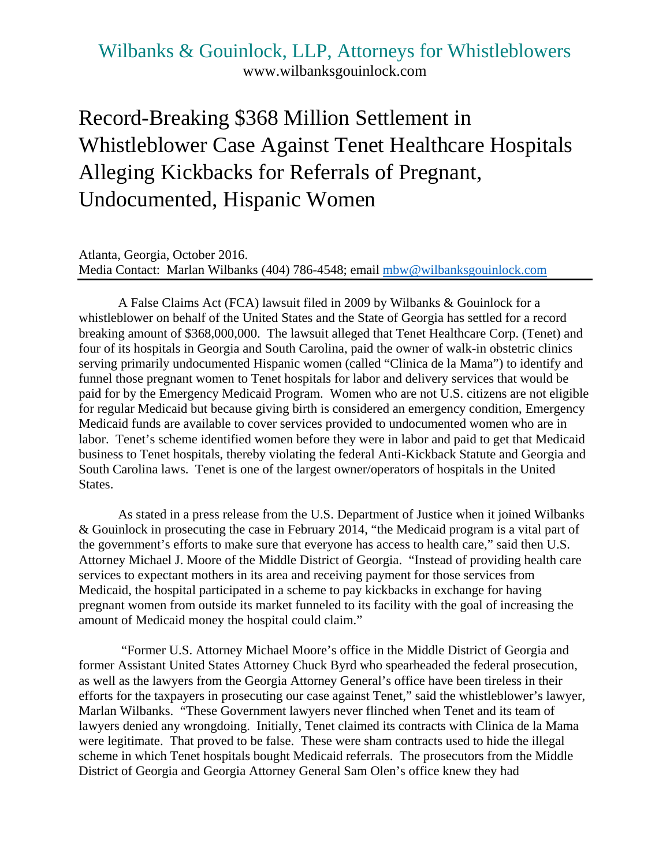## Wilbanks & Gouinlock, LLP, Attorneys for Whistleblowers www.wilbanksgouinlock.com

## Record-Breaking \$368 Million Settlement in Whistleblower Case Against Tenet Healthcare Hospitals Alleging Kickbacks for Referrals of Pregnant, Undocumented, Hispanic Women

Atlanta, Georgia, October 2016. Media Contact: Marlan Wilbanks (404) 786-4548; email mbw@wilbanksgouinlock.com

A False Claims Act (FCA) lawsuit filed in 2009 by Wilbanks & Gouinlock for a whistleblower on behalf of the United States and the State of Georgia has settled for a record breaking amount of \$368,000,000. The lawsuit alleged that Tenet Healthcare Corp. (Tenet) and four of its hospitals in Georgia and South Carolina, paid the owner of walk-in obstetric clinics serving primarily undocumented Hispanic women (called "Clinica de la Mama") to identify and funnel those pregnant women to Tenet hospitals for labor and delivery services that would be paid for by the Emergency Medicaid Program. Women who are not U.S. citizens are not eligible for regular Medicaid but because giving birth is considered an emergency condition, Emergency Medicaid funds are available to cover services provided to undocumented women who are in labor. Tenet's scheme identified women before they were in labor and paid to get that Medicaid business to Tenet hospitals, thereby violating the federal Anti-Kickback Statute and Georgia and South Carolina laws. Tenet is one of the largest owner/operators of hospitals in the United States.

As stated in a press release from the U.S. Department of Justice when it joined Wilbanks & Gouinlock in prosecuting the case in February 2014, "the Medicaid program is a vital part of the government's efforts to make sure that everyone has access to health care," said then U.S. Attorney Michael J. Moore of the Middle District of Georgia. "Instead of providing health care services to expectant mothers in its area and receiving payment for those services from Medicaid, the hospital participated in a scheme to pay kickbacks in exchange for having pregnant women from outside its market funneled to its facility with the goal of increasing the amount of Medicaid money the hospital could claim."

 "Former U.S. Attorney Michael Moore's office in the Middle District of Georgia and former Assistant United States Attorney Chuck Byrd who spearheaded the federal prosecution, as well as the lawyers from the Georgia Attorney General's office have been tireless in their efforts for the taxpayers in prosecuting our case against Tenet," said the whistleblower's lawyer, Marlan Wilbanks. "These Government lawyers never flinched when Tenet and its team of lawyers denied any wrongdoing. Initially, Tenet claimed its contracts with Clinica de la Mama were legitimate. That proved to be false. These were sham contracts used to hide the illegal scheme in which Tenet hospitals bought Medicaid referrals. The prosecutors from the Middle District of Georgia and Georgia Attorney General Sam Olen's office knew they had